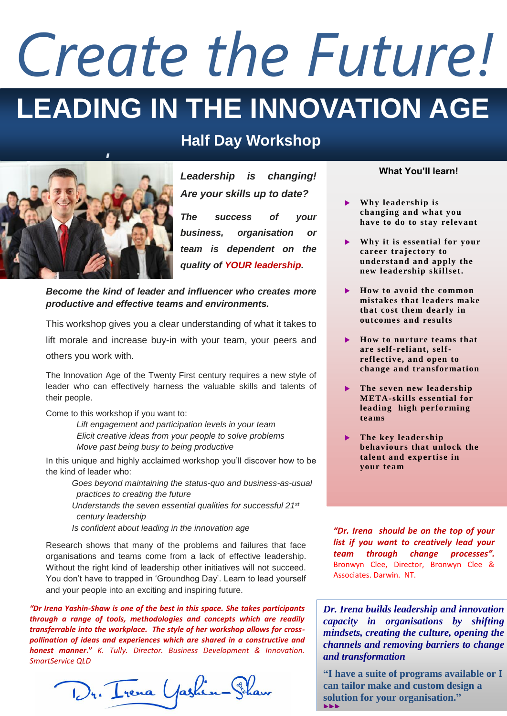# **LEADING IN THE INNOVATION AGE** *Create the Future!*

## **Half Day Workshop**



*Leadership is changing! Are your skills up to date?* 

*The success of your business, organisation or team is dependent on the quality of YOUR leadership.*

### *Become the kind of leader and influencer who creates more productive and effective teams and environments.*

This workshop gives you a clear understanding of what it takes to lift morale and increase buy-in with your team, your peers and others you work with.

The Innovation Age of the Twenty First century requires a new style of leader who can effectively harness the valuable skills and talents of their people.

Come to this workshop if you want to:

*Lift engagement and participation levels in your team Elicit creative ideas from your people to solve problems Move past being busy to being productive*

In this unique and highly acclaimed workshop you'll discover how to be the kind of leader who:

 *Goes beyond maintaining the status-quo and business-as-usual practices to creating the future*

 *Understands the seven essential qualities for successful 21st century leadership*

 *Is confident about leading in the innovation age* 

Research shows that many of the problems and failures that face organisations and teams come from a lack of effective leadership. Without the right kind of leadership other initiatives will not succeed. You don't have to trapped in 'Groundhog Day'. Learn to lead yourself and your people into an exciting and inspiring future.

*"Dr Irena Yashin-Shaw is one of the best in this space. She takes participants through a range of tools, methodologies and concepts which are readily transferrable into the workplace. The style of her workshop allows for crosspollination of ideas and experiences which are shared in a constructive and honest manner***."** *K. Tully. Director. Business Development & Innovation. SmartService QLD*

Dr. Irena Yashin-Shaw

### **What You'll learn!**

- **Why leadership is changing and what you have to do to stay relevant**
- **Why it is essential for your career trajectory to understand and apply the new leadership skillset.**
- **How to avoid the common mistakes that leaders make that cost them dearly in outco mes and results**
- ▶ How to nurture teams that **are self-reliant, selfreflective, and open to change and transformation**
- **The seven new leadership META-skills essential for leading high performing teams**
- **The key leadership behaviours that unlock the talent and expertise in your team**

*"Dr. Irena should be on the top of your list if you want to creatively lead your team through change processes".* [Bronwyn Clee,](http://www.linkedin.com/profile/view?id=55109106&authType=name&authToken=rj3p&goback=%2Enpv_8969088_*1_*1_*1_*1_*1_*1_*1_*1_*1_*1_*1_*1_*1_*1_*1_*1_*1_*1_*1_*1_*1_*1_*1_*1_*1_*1_*1) Director, Bronwyn Clee & Associates. Darwin. NT.

*Dr. Irena builds leadership and innovation capacity in organisations by shifting mindsets, creating the culture, opening the channels and removing barriers to change and transformation*

**"I have a suite of programs available or I can tailor make and custom design a solution for your organisation."** **NNK**